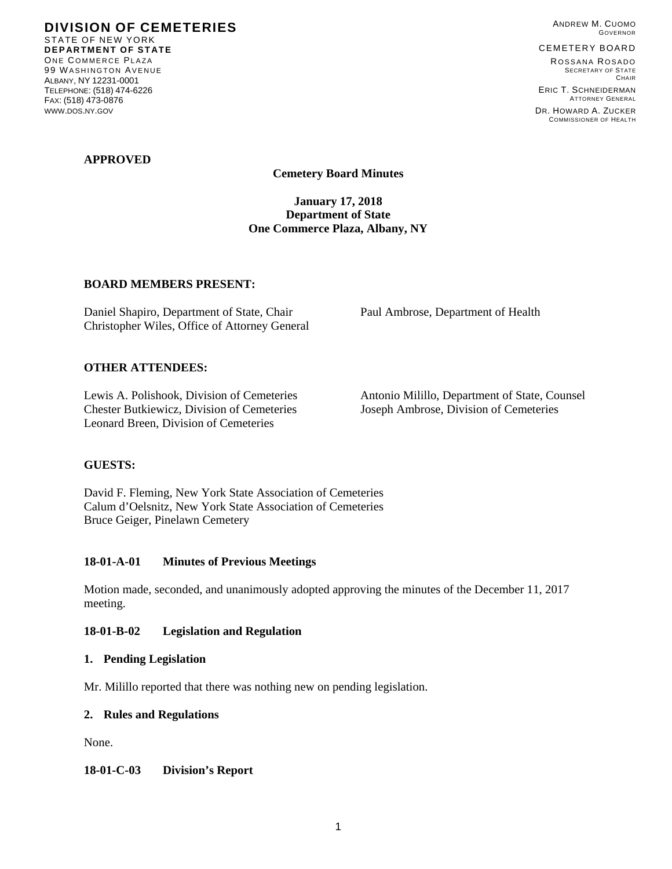**DIVISION OF CEMETERIES**  STATE OF NEW YORK **DEPARTMENT OF STATE**  ONE COMMERCE PLAZA 99 WASHINGTON AVENUE ALBANY, NY 12231-0001 TELEPHONE: (518) 474-6226 FAX: (518) 473-0876 WWW.DOS.NY.GOV

ANDREW M. CUOMO GOVERNOR

CEMETERY BOARD

ROSSANA ROSADO SECRETARY OF STATE **CHAIR** ERIC T. SCHNEIDERMAN

ATTORNEY GENERAL DR. HOWARD A. ZUCKER COMMISSIONER OF HEALTH

## **APPROVED**

**Cemetery Board Minutes** 

**January 17, 2018 Department of State One Commerce Plaza, Albany, NY** 

### **BOARD MEMBERS PRESENT:**

Daniel Shapiro, Department of State, Chair Paul Ambrose, Department of Health Christopher Wiles, Office of Attorney General

### **OTHER ATTENDEES:**

Chester Butkiewicz, Division of Cemeteries Joseph Ambrose, Division of Cemeteries Leonard Breen, Division of Cemeteries

Lewis A. Polishook, Division of Cemeteries Antonio Milillo, Department of State, Counsel

## **GUESTS:**

David F. Fleming, New York State Association of Cemeteries Calum d'Oelsnitz, New York State Association of Cemeteries Bruce Geiger, Pinelawn Cemetery

#### **18-01-A-01 Minutes of Previous Meetings**

Motion made, seconded, and unanimously adopted approving the minutes of the December 11, 2017 meeting.

#### **18-01-B-02 Legislation and Regulation**

#### **1. Pending Legislation**

Mr. Milillo reported that there was nothing new on pending legislation.

#### **2. Rules and Regulations**

None.

**18-01-C-03 Division's Report**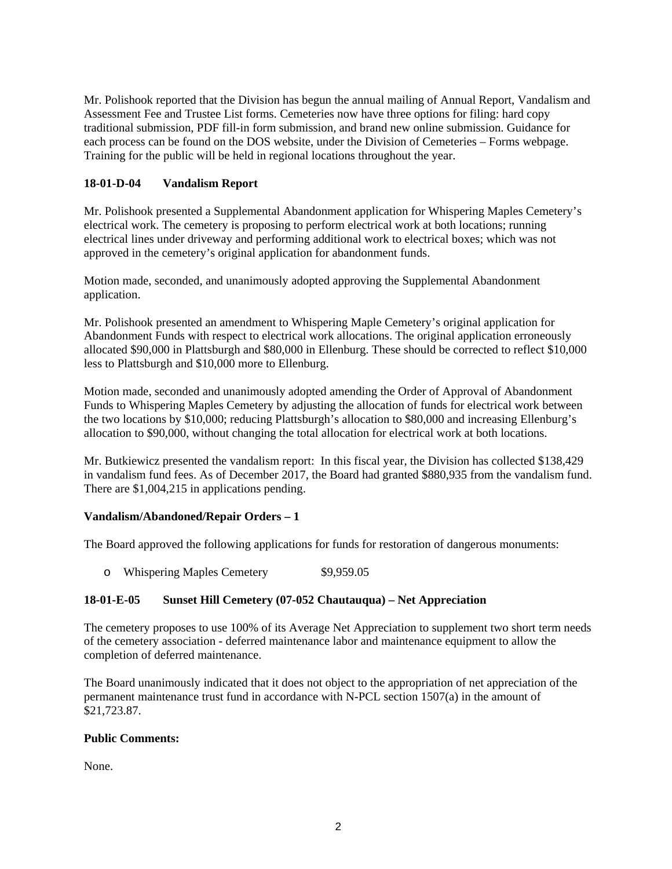Mr. Polishook reported that the Division has begun the annual mailing of Annual Report, Vandalism and Assessment Fee and Trustee List forms. Cemeteries now have three options for filing: hard copy traditional submission, PDF fill-in form submission, and brand new online submission. Guidance for each process can be found on the DOS website, under the Division of Cemeteries – Forms webpage. Training for the public will be held in regional locations throughout the year.

# **18-01-D-04 Vandalism Report**

Mr. Polishook presented a Supplemental Abandonment application for Whispering Maples Cemetery's electrical work. The cemetery is proposing to perform electrical work at both locations; running electrical lines under driveway and performing additional work to electrical boxes; which was not approved in the cemetery's original application for abandonment funds.

Motion made, seconded, and unanimously adopted approving the Supplemental Abandonment application.

Mr. Polishook presented an amendment to Whispering Maple Cemetery's original application for Abandonment Funds with respect to electrical work allocations. The original application erroneously allocated \$90,000 in Plattsburgh and \$80,000 in Ellenburg. These should be corrected to reflect \$10,000 less to Plattsburgh and \$10,000 more to Ellenburg.

Motion made, seconded and unanimously adopted amending the Order of Approval of Abandonment Funds to Whispering Maples Cemetery by adjusting the allocation of funds for electrical work between the two locations by \$10,000; reducing Plattsburgh's allocation to \$80,000 and increasing Ellenburg's allocation to \$90,000, without changing the total allocation for electrical work at both locations.

Mr. Butkiewicz presented the vandalism report: In this fiscal year, the Division has collected \$138,429 in vandalism fund fees. As of December 2017, the Board had granted \$880,935 from the vandalism fund. There are \$1,004,215 in applications pending.

## **Vandalism/Abandoned/Repair Orders – 1**

The Board approved the following applications for funds for restoration of dangerous monuments:

o Whispering Maples Cemetery \$9,959.05

## **18-01-E-05 Sunset Hill Cemetery (07-052 Chautauqua) – Net Appreciation**

The cemetery proposes to use 100% of its Average Net Appreciation to supplement two short term needs of the cemetery association - deferred maintenance labor and maintenance equipment to allow the completion of deferred maintenance.

The Board unanimously indicated that it does not object to the appropriation of net appreciation of the permanent maintenance trust fund in accordance with N-PCL section 1507(a) in the amount of \$21,723.87.

## **Public Comments:**

None.